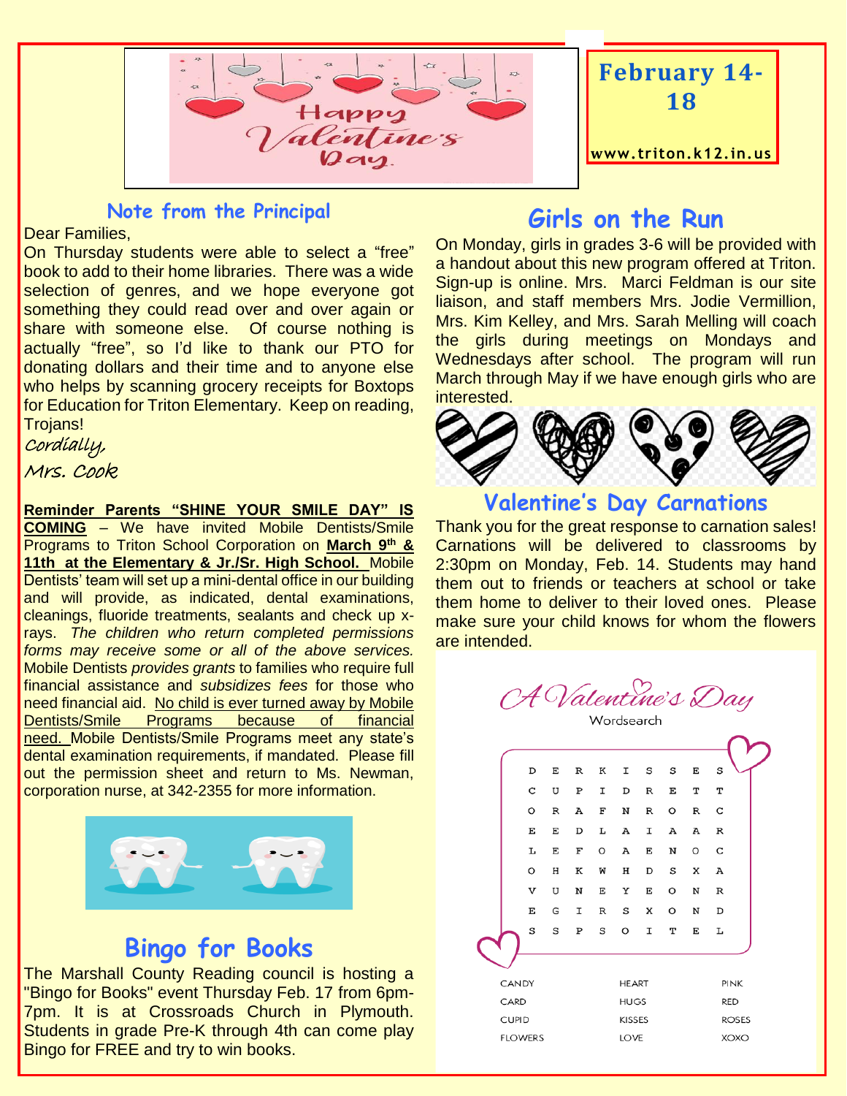



#### **Note from the Principal**

Dear Families,

On Thursday students were able to select a "free" book to add to their home libraries. There was a wide selection of genres, and we hope everyone got something they could read over and over again or share with someone else. Of course nothing is actually "free", so I'd like to thank our PTO for donating dollars and their time and to anyone else who helps by scanning grocery receipts for Boxtops for Education for Triton Elementary. Keep on reading, Trojans!

Cordially,

Mrs. Cook

**Reminder Parents "SHINE YOUR SMILE DAY" IS COMING** – We have invited Mobile Dentists/Smile Programs to Triton School Corporation on **March 9th & 11th at the Elementary & Jr./Sr. High School.** Mobile Dentists' team will set up a mini-dental office in our building and will provide, as indicated, dental examinations, cleanings, fluoride treatments, sealants and check up xrays. *The children who return completed permissions forms may receive some or all of the above services.*  Mobile Dentists *provides grants* to families who require full financial assistance and *subsidizes fees* for those who need financial aid. No child is ever turned away by Mobile Dentists/Smile Programs because of financial need. Mobile Dentists/Smile Programs meet any state's dental examination requirements, if mandated. Please fill out the permission sheet and return to Ms. Newman, corporation nurse, at 342-2355 for more information.



# **Bingo for Books**

The Marshall County Reading council is hosting a "Bingo for Books" event Thursday Feb. 17 from 6pm-7pm. It is at Crossroads Church in Plymouth. Students in grade Pre-K through 4th can come play Bingo for FREE and try to win books.

## **Girls on the Run**

On Monday, girls in grades 3-6 will be provided with a handout about this new program offered at Triton. Sign-up is online. Mrs. Marci Feldman is our site liaison, and staff members Mrs. Jodie Vermillion, Mrs. Kim Kelley, and Mrs. Sarah Melling will coach the girls during meetings on Mondays and Wednesdays after school. The program will run March through May if we have enough girls who are interested.



**Valentine's Day Carnations**

Thank you for the great response to carnation sales! Carnations will be delivered to classrooms by 2:30pm on Monday, Feb. 14. Students may hand them out to friends or teachers at school or take them home to deliver to their loved ones. Please make sure your child knows for whom the flowers are intended.



|                | D | E | R | к             | I            | s | s | E            | s            |  |
|----------------|---|---|---|---------------|--------------|---|---|--------------|--------------|--|
|                | C | U | P | Ι             | D            | R | Е | т            | Т            |  |
|                | O | R | А | F             | N            | R | O | R            | С            |  |
|                | Е | E | D | г             | А            | I | А | А            | $\, {\bf R}$ |  |
|                | Ŀ | E | F | O             | А            | E | N | O            | C            |  |
|                | O | Η | к | M             | Н            | D | S | X            | А            |  |
|                | V | U | N | E             | Υ            | E | O | N            | $\, {\bf R}$ |  |
|                | E | G | I | R             | S            | X | O | N            | D            |  |
|                | S | S | P | s             | O            | Ι | Т | E            | L            |  |
|                |   |   |   |               |              |   |   |              |              |  |
| CANDY          |   |   |   |               | <b>HEART</b> |   |   |              | <b>PINK</b>  |  |
| CARD           |   |   |   | <b>HUGS</b>   |              |   |   | <b>RED</b>   |              |  |
| <b>CUPID</b>   |   |   |   | <b>KISSES</b> |              |   |   | <b>ROSES</b> |              |  |
| <b>FLOWERS</b> |   |   |   |               | LOVE         |   |   |              | <b>XOXO</b>  |  |